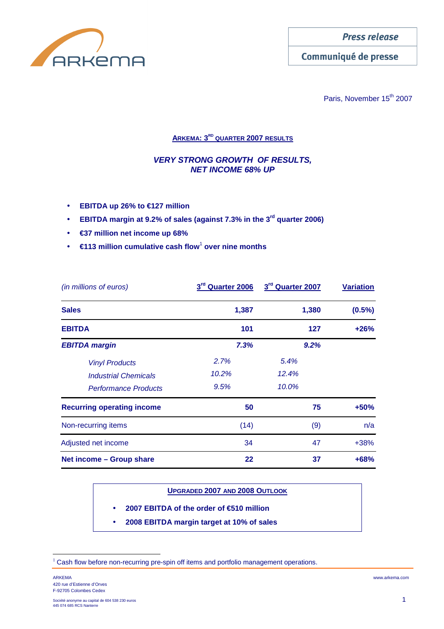

**Press release** 

Communiqué de presse

Paris, November 15<sup>th</sup> 2007

# **ARKEMA: 3RD QUARTER 2007 RESULTS**

# **VERY STRONG GROWTH OF RESULTS, NET INCOME 68% UP**

- **EBITDA up 26% to €127 million**
- **EBITDA margin at 9.2% of sales (against 7.3% in the 3rd quarter 2006)**
- **€37 million net income up 68%**
- **€113 million cumulative cash flow<sup>1</sup> over nine months**

| (in millions of euros)            | 3rd Quarter 2006 | 3rd Quarter 2007 | <b>Variation</b> |  |
|-----------------------------------|------------------|------------------|------------------|--|
| <b>Sales</b>                      | 1,387            | 1,380            | $(0.5\%)$        |  |
| <b>EBITDA</b>                     | 101              | 127              | $+26%$           |  |
| <b>EBITDA margin</b>              | 7.3%             | 9.2%             |                  |  |
| <b>Vinyl Products</b>             | 2.7%             | 5.4%             |                  |  |
| <b>Industrial Chemicals</b>       | 10.2%            | 12.4%            |                  |  |
| <b>Performance Products</b>       | 9.5%             | 10.0%            |                  |  |
| <b>Recurring operating income</b> | 50               | 75               | $+50%$           |  |
| Non-recurring items               | (14)             | (9)              | n/a              |  |
| Adjusted net income               | 34               | 47               | $+38%$           |  |
| Net income - Group share          | 22               | 37               | $+68%$           |  |

# **UPGRADED 2007 AND 2008 OUTLOOK**

- **2007 EBITDA of the order of €510 million**
- **2008 EBITDA margin target at 10% of sales**

 $\overline{a}$ 

 $1$  Cash flow before non-recurring pre-spin off items and portfolio management operations.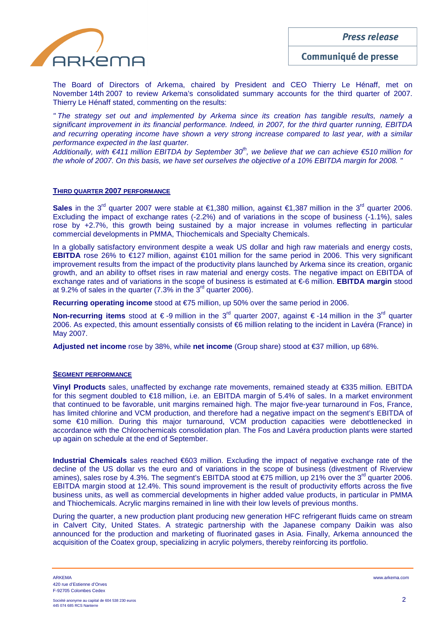**Press release** 



Communiqué de presse

The Board of Directors of Arkema, chaired by President and CEO Thierry Le Hénaff, met on November 14th 2007 to review Arkema's consolidated summary accounts for the third quarter of 2007. Thierry Le Hénaff stated, commenting on the results:

" The strategy set out and implemented by Arkema since its creation has tangible results, namely a significant improvement in its financial performance. Indeed, in 2007, for the third quarter running, EBITDA and recurring operating income have shown a very strong increase compared to last year, with a similar performance expected in the last quarter.

Additionally, with  $\epsilon$ 411 million EBITDA by September 30<sup>th</sup>, we believe that we can achieve  $\epsilon$ 510 million for the whole of 2007. On this basis, we have set ourselves the objective of a 10% EBITDA margin for 2008. "

## **THIRD QUARTER 2007 PERFORMANCE**

**Sales** in the 3<sup>rd</sup> quarter 2007 were stable at €1,380 million, against €1,387 million in the 3<sup>rd</sup> quarter 2006. Excluding the impact of exchange rates (-2.2%) and of variations in the scope of business (-1.1%), sales rose by +2.7%, this growth being sustained by a major increase in volumes reflecting in particular commercial developments in PMMA, Thiochemicals and Specialty Chemicals.

In a globally satisfactory environment despite a weak US dollar and high raw materials and energy costs, **EBITDA** rose 26% to €127 million, against €101 million for the same period in 2006. This very significant improvement results from the impact of the productivity plans launched by Arkema since its creation, organic growth, and an ability to offset rises in raw material and energy costs. The negative impact on EBITDA of exchange rates and of variations in the scope of business is estimated at €-6 million. **EBITDA margin** stood at  $9.2\%$  of sales in the quarter (7.3% in the  $3<sup>rd</sup>$  quarter 2006).

**Recurring operating income** stood at €75 million, up 50% over the same period in 2006.

**Non-recurring items** stood at € -9 million in the 3<sup>rd</sup> quarter 2007, against € -14 million in the 3<sup>rd</sup> quarter 2006. As expected, this amount essentially consists of €6 million relating to the incident in Lavéra (France) in May 2007.

**Adjusted net income** rose by 38%, while **net income** (Group share) stood at €37 million, up 68%.

## **SEGMENT PERFORMANCE**

**Vinyl Products** sales, unaffected by exchange rate movements, remained steady at €335 million. EBITDA for this segment doubled to €18 million, i.e. an EBITDA margin of 5.4% of sales. In a market environment that continued to be favorable, unit margins remained high. The major five-year turnaround in Fos, France, has limited chlorine and VCM production, and therefore had a negative impact on the segment's EBITDA of some €10 million. During this major turnaround, VCM production capacities were debottlenecked in accordance with the Chlorochemicals consolidation plan. The Fos and Lavéra production plants were started up again on schedule at the end of September.

**Industrial Chemicals** sales reached €603 million. Excluding the impact of negative exchange rate of the decline of the US dollar vs the euro and of variations in the scope of business (divestment of Riverview amines), sales rose by 4.3%. The segment's EBITDA stood at  $\epsilon$ 75 million, up 21% over the 3<sup>d</sup> quarter 2006. EBITDA margin stood at 12.4%. This sound improvement is the result of productivity efforts across the five business units, as well as commercial developments in higher added value products, in particular in PMMA and Thiochemicals. Acrylic margins remained in line with their low levels of previous months.

During the quarter, a new production plant producing new generation HFC refrigerant fluids came on stream in Calvert City, United States. A strategic partnership with the Japanese company Daikin was also announced for the production and marketing of fluorinated gases in Asia. Finally, Arkema announced the acquisition of the Coatex group, specializing in acrylic polymers, thereby reinforcing its portfolio.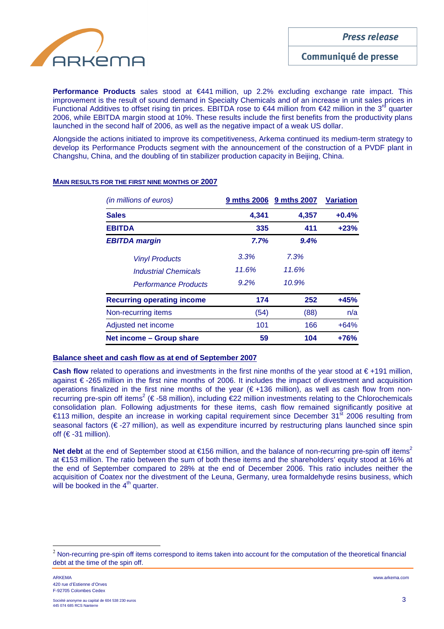

Communiqué de presse

**Performance Products** sales stood at €441 million, up 2.2% excluding exchange rate impact. This improvement is the result of sound demand in Specialty Chemicals and of an increase in unit sales prices in Functional Additives to offset rising tin prices. EBITDA rose to  $\in$ 44 million from  $\in$ 42 million in the 3<sup>d</sup> quarter 2006, while EBITDA margin stood at 10%. These results include the first benefits from the productivity plans launched in the second half of 2006, as well as the negative impact of a weak US dollar.

Alongside the actions initiated to improve its competitiveness, Arkema continued its medium-term strategy to develop its Performance Products segment with the announcement of the construction of a PVDF plant in Changshu, China, and the doubling of tin stabilizer production capacity in Beijing, China.

| (in millions of euros)            |         | 9 mths 2006 9 mths 2007 | <b>Variation</b> |
|-----------------------------------|---------|-------------------------|------------------|
| <b>Sales</b>                      | 4,341   | 4,357                   | $+0.4%$          |
| <b>EBITDA</b>                     | 335     | 411                     | $+23%$           |
| <b>EBITDA margin</b>              | 7.7%    | 9.4%                    |                  |
| <b>Vinyl Products</b>             | 3.3%    | 7.3%                    |                  |
| <b>Industrial Chemicals</b>       | 11.6%   | 11.6%                   |                  |
| <b>Performance Products</b>       | $9.2\%$ | 10.9%                   |                  |
| <b>Recurring operating income</b> | 174     | 252                     | $+45%$           |
| Non-recurring items               | (54)    | (88)                    | n/a              |
| Adjusted net income               | 101     | 166                     | $+64%$           |
| Net income - Group share          | 59      | 104                     | $+76%$           |

## **MAIN RESULTS FOR THE FIRST NINE MONTHS OF 2007**

## **Balance sheet and cash flow as at end of September 2007**

**Cash flow** related to operations and investments in the first nine months of the year stood at € +191 million, against € -265 million in the first nine months of 2006. It includes the impact of divestment and acquisition operations finalized in the first nine months of the year (€ +136 million), as well as cash flow from nonrecurring pre-spin off items<sup>2</sup> (€ -58 million), including €22 million investments relating to the Chlorochemicals consolidation plan. Following adjustments for these items, cash flow remained significantly positive at €113 million, despite an increase in working capital requirement since December 31st 2006 resulting from seasonal factors (€ -27 million), as well as expenditure incurred by restructuring plans launched since spin off  $(€-31$  million).

**Net debt** at the end of September stood at €156 million, and the balance of non-recurring pre-spin off items<sup>2</sup> at €153 million. The ratio between the sum of both these items and the shareholders' equity stood at 16% at the end of September compared to 28% at the end of December 2006. This ratio includes neither the acquisition of Coatex nor the divestment of the Leuna, Germany, urea formaldehyde resins business, which will be booked in the  $4<sup>th</sup>$  quarter.

 $\overline{a}$ 

 $2$  Non-recurring pre-spin off items correspond to items taken into account for the computation of the theoretical financial debt at the time of the spin off.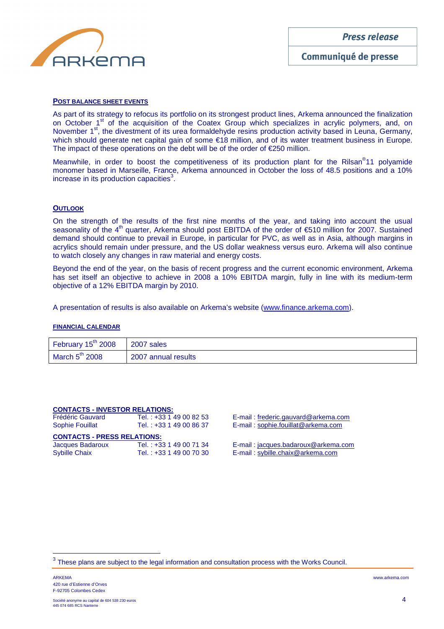

#### **POST BALANCE SHEET EVENTS**

As part of its strategy to refocus its portfolio on its strongest product lines, Arkema announced the finalization on October 1<sup>st</sup> of the acquisition of the Coatex Group which specializes in acrylic polymers, and, on November 1<sup>st</sup>, the divestment of its urea formaldehyde resins production activity based in Leuna, Germany, which should generate net capital gain of some €18 million, and of its water treatment business in Europe. The impact of these operations on the debt will be of the order of  $E$ 250 million.

Meanwhile, in order to boost the competitiveness of its production plant for the Rilsan<sup>®</sup>11 polyamide monomer based in Marseille, France, Arkema announced in October the loss of 48.5 positions and a 10% increase in its production capacities $3$ .

## **OUTLOOK**

On the strength of the results of the first nine months of the year, and taking into account the usual seasonality of the 4<sup>th</sup> quarter, Arkema should post EBITDA of the order of €510 million for 2007. Sustained demand should continue to prevail in Europe, in particular for PVC, as well as in Asia, although margins in acrylics should remain under pressure, and the US dollar weakness versus euro. Arkema will also continue to watch closely any changes in raw material and energy costs.

Beyond the end of the year, on the basis of recent progress and the current economic environment, Arkema has set itself an objective to achieve in 2008 a 10% EBITDA margin, fully in line with its medium-term objective of a 12% EBITDA margin by 2010.

A presentation of results is also available on Arkema's website (www.finance.arkema.com).

#### **FINANCIAL CALENDAR**

| February $15^{th}$ 2008 2007 sales |                     |
|------------------------------------|---------------------|
| March $5^{\text{th}}$ 2008         | 2007 annual results |

| <b>CONTACTS - INVESTOR RELATIONS:</b> |                         |  |  |  |  |  |
|---------------------------------------|-------------------------|--|--|--|--|--|
| <b>Frédéric Gauvard</b>               | Tel.: +33 1 49 00 82 53 |  |  |  |  |  |
| <b>Sophie Fouillat</b>                | Tel.: +33 1 49 00 86 37 |  |  |  |  |  |
| <b>CONTACTS - PRESS RELATIONS:</b>    |                         |  |  |  |  |  |
|                                       |                         |  |  |  |  |  |
| Jacques Badaroux                      | Tel.: +33 1 49 00 71 34 |  |  |  |  |  |

E-mail: frederic.gauvard@arkema.com E-mail: sophie.fouillat@arkema.com

E-mail : jacques.badaroux@arkema.com E-mail : sybille.chaix@arkema.com

 $\overline{a}$ 

<sup>3</sup> These plans are subject to the legal information and consultation process with the Works Council.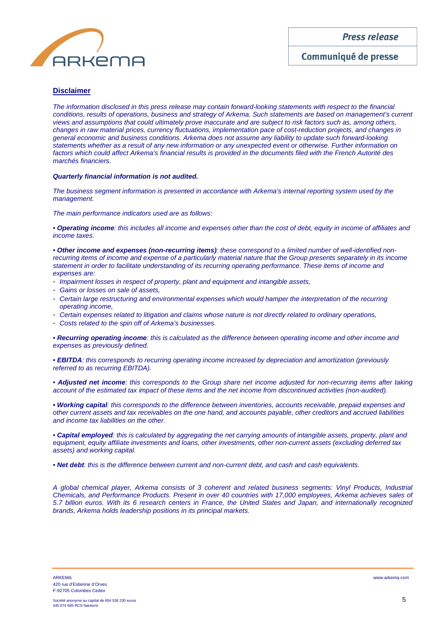**Press release** 



Communiqué de presse

## **Disclaimer**

The information disclosed in this press release may contain forward-looking statements with respect to the financial conditions, results of operations, business and strategy of Arkema. Such statements are based on management's current views and assumptions that could ultimately prove inaccurate and are subject to risk factors such as, among others, changes in raw material prices, currency fluctuations, implementation pace of cost-reduction projects, and changes in general economic and business conditions. Arkema does not assume any liability to update such forward-looking statements whether as a result of any new information or any unexpected event or otherwise. Further information on factors which could affect Arkema's financial results is provided in the documents filed with the French Autorité des marchés financiers.

#### **Quarterly financial information is not audited.**

The business segment information is presented in accordance with Arkema's internal reporting system used by the management.

The main performance indicators used are as follows:

• **Operating income**: this includes all income and expenses other than the cost of debt, equity in income of affiliates and income taxes.

• **Other income and expenses (non-recurring items)**: these correspond to a limited number of well-identified nonrecurring items of income and expense of a particularly material nature that the Group presents separately in its income statement in order to facilitate understanding of its recurring operating performance. These items of income and expenses are:

- Impairment losses in respect of property, plant and equipment and intangible assets,
- Gains or losses on sale of assets,
- Certain large restructuring and environmental expenses which would hamper the interpretation of the recurring operating income,
- Certain expenses related to litigation and claims whose nature is not directly related to ordinary operations,
- Costs related to the spin off of Arkema's businesses.

• **Recurring operating income**: this is calculated as the difference between operating income and other income and expenses as previously defined.

• **EBITDA**: this corresponds to recurring operating income increased by depreciation and amortization (previously referred to as recurring EBITDA).

• **Adjusted net income**: this corresponds to the Group share net income adjusted for non-recurring items after taking account of the estimated tax impact of these items and the net income from discontinued activities (non-audited).

**• Working capital**: this corresponds to the difference between inventories, accounts receivable, prepaid expenses and other current assets and tax receivables on the one hand, and accounts payable, other creditors and accrued liabilities and income tax liabilities on the other.

• **Capital employed**: this is calculated by aggregating the net carrying amounts of intangible assets, property, plant and equipment, equity affiliate investments and loans, other investments, other non-current assets (excluding deferred tax assets) and working capital.

• **Net debt**: this is the difference between current and non-current debt, and cash and cash equivalents.

A global chemical player, Arkema consists of 3 coherent and related business segments: Vinyl Products, Industrial Chemicals, and Performance Products. Present in over 40 countries with 17,000 employees, Arkema achieves sales of 5.7 billion euros. With its 6 research centers in France, the United States and Japan, and internationally recognized brands, Arkema holds leadership positions in its principal markets.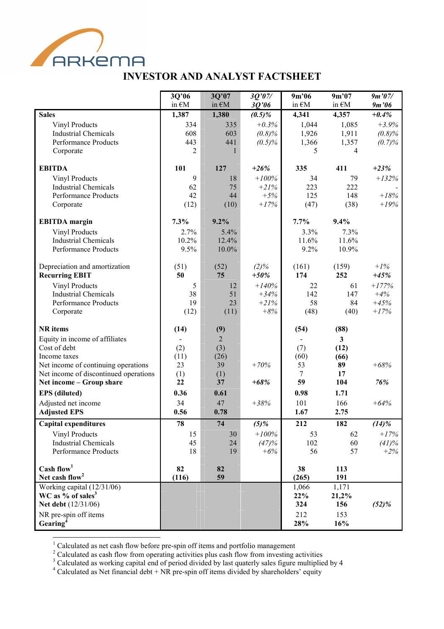

# INVESTOR AND ANALYST FACTSHEET

|                                                            | 3Q'06           | 3Q'07          | 3Q'07/    | 9m'06           | 9m'07        | 9m'07/   |
|------------------------------------------------------------|-----------------|----------------|-----------|-----------------|--------------|----------|
|                                                            | in $\epsilon$ M | in €M          | 3Q'06     | in $\epsilon$ M | in €M        | 9m'06    |
| <b>Sales</b>                                               | 1,387           | 1,380          | $(0.5)\%$ | 4,341           | 4,357        | $+0.4%$  |
| <b>Vinyl Products</b>                                      | 334             | 335            | $+0.3\%$  | 1,044           | 1,085        | $+3.9%$  |
| <b>Industrial Chemicals</b><br><b>Performance Products</b> | 608<br>443      | 603<br>441     | (0.8)%    | 1,926           | 1,911        | (0.8)%   |
| Corporate                                                  | 2               |                | $(0.5)\%$ | 1,366<br>5      | 1,357<br>4   | (0.7)%   |
|                                                            |                 |                |           |                 |              |          |
| <b>EBITDA</b>                                              | 101             | 127            | $+26%$    | 335             | 411          | $+23%$   |
| Vinyl Products                                             | 9               | 18             | $+100%$   | 34              | 79           | $+132%$  |
| <b>Industrial Chemicals</b>                                | 62              | 75             | $+21%$    | 223             | 222          |          |
| <b>Performance Products</b>                                | 42              | 44             | $+5%$     | 125             | 148          | $+18%$   |
| Corporate                                                  | (12)            | (10)           | $+17%$    | (47)            | (38)         | $+19%$   |
| <b>EBITDA</b> margin                                       | 7.3%            | 9.2%           |           | 7.7%            | 9.4%         |          |
| <b>Vinyl Products</b>                                      | 2.7%            | 5.4%           |           | 3.3%            | 7.3%         |          |
| <b>Industrial Chemicals</b>                                | 10.2%           | 12.4%          |           | 11.6%           | 11.6%        |          |
| Performance Products                                       | 9.5%            | 10.0%          |           | 9.2%            | 10.9%        |          |
| Depreciation and amortization                              | (51)            | (52)           | $(2)\%$   | (161)           | (159)        | $+1\%$   |
| <b>Recurring EBIT</b>                                      | 50              | 75             | $+50%$    | 174             | 252          | $+45%$   |
| <b>Vinyl Products</b>                                      | 5               | 12             | $+140%$   | 22              | 61           | $+177%$  |
| <b>Industrial Chemicals</b>                                | 38              | 51             | $+34%$    | 142             | 147          | $+4%$    |
| Performance Products                                       | 19              | 23             | $+21%$    | 58              | 84           | $+45%$   |
| Corporate                                                  | (12)            | (11)           | $+8%$     | (48)            | (40)         | $+17%$   |
|                                                            |                 |                |           |                 |              |          |
| <b>NR</b> items                                            | (14)            | (9)            |           | (54)            | (88)         |          |
| Equity in income of affiliates<br>Cost of debt             |                 | $\overline{2}$ |           |                 | $\mathbf{3}$ |          |
| Income taxes                                               | (2)<br>(11)     | (3)<br>(26)    |           | (7)<br>(60)     | (12)<br>(66) |          |
| Net income of continuing operations                        | 23              | 39             | $+70%$    | 53              | 89           | $+68%$   |
| Net income of discontinued operations                      | (1)             | (1)            |           | 7               | 17           |          |
| Net income - Group share                                   | 22              | 37             | $+68%$    | 59              | 104          | 76%      |
| <b>EPS</b> (diluted)                                       | 0.36            | 0.61           |           | 0.98            | 1.71         |          |
| Adjusted net income                                        | 34              | 47             | $+38%$    | 101             | 166          | $+64%$   |
| <b>Adjusted EPS</b>                                        | 0.56            | 0.78           |           | 1.67            | 2.75         |          |
| <b>Capital expenditures</b>                                | 78              | 74             | $(5)\%$   | 212             | 182          | $(14)\%$ |
| <b>Vinyl Products</b>                                      | 15              | 30             | $+100\%$  | 53              | 62           | $+17%$   |
| <b>Industrial Chemicals</b>                                | 45              | 24             | (47)%     | 102             | 60           | (41)%    |
| Performance Products                                       | 18              | 19             | $+6%$     | 56              | 57           | $+2%$    |
| Cash flow <sup>1</sup>                                     | 82              | 82             |           | 38              | 113          |          |
| Net cash flow <sup>2</sup>                                 | (116)           | 59             |           | (265)           | 191          |          |
| Working capital (12/31/06)                                 |                 |                |           | 1,066           | 1,171        |          |
| WC as $%$ of sales <sup>3</sup>                            |                 |                |           | 22%             | 21,2%        |          |
| Net debt (12/31/06)                                        |                 |                |           | 324             | 156          | (52)%    |
| NR pre-spin off items                                      |                 |                |           | 212             | 153          |          |
| Gearing <sup>4</sup>                                       |                 |                |           | 28%             | 16%          |          |

<sup>&</sup>lt;sup>1</sup> Calculated as net cash flow before pre-spin off items and portfolio management<br><sup>2</sup> Calculated as cash flow from operating activities plus cash flow from investing activities<br><sup>3</sup> Calculated as working capital end of pe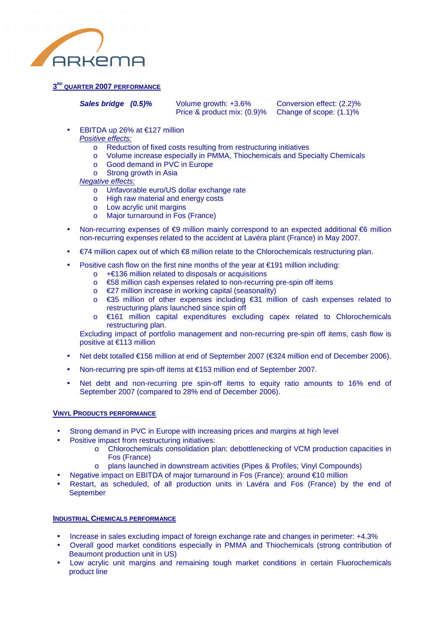

# **3 RD QUARTER 2007 PERFORMANCE**

**Sales bridge (0.5)%** Volume growth: +3.6% Conversion effect: (2.2)%<br>Price & product mix: (0.9)% Change of scope: (1.1)% Price & product mix:  $(0.9)$ %

- EBITDA up 26% at  $€127$  million
	- Positive effects:
		- o Reduction of fixed costs resulting from restructuring initiatives
		- o Volume increase especially in PMMA, Thiochemicals and Specialty Chemicals
		- o Good demand in PVC in Europe
		- o Strong growth in Asia

Negative effects:

- o Unfavorable euro/US dollar exchange rate
- o High raw material and energy costs
- o Low acrylic unit margins
- Major turnaround in Fos (France)
- Non-recurring expenses of €9 million mainly correspond to an expected additional €6 million non-recurring expenses related to the accident at Lavéra plant (France) in May 2007.
- €74 million capex out of which €8 million relate to the Chlorochemicals restructuring plan.
- Positive cash flow on the first nine months of the year at  $€191$  million including:
	- o +€136 million related to disposals or acquisitions
	- o €58 million cash expenses related to non-recurring pre-spin off items
	- o €27 million increase in working capital (seasonality)
	- o €35 million of other expenses including €31 million of cash expenses related to restructuring plans launched since spin off
	- o €161 million capital expenditures excluding capex related to Chlorochemicals restructuring plan.

Excluding impact of portfolio management and non-recurring pre-spin off items, cash flow is positive at €113 million

- Net debt totalled €156 million at end of September 2007 (€324 million end of December 2006).
- Non-recurring pre spin-off items at €153 million end of September 2007.
- Net debt and non-recurring pre spin-off items to equity ratio amounts to 16% end of September 2007 (compared to 28% end of December 2006).

## **VINYL PRODUCTS PERFORMANCE**

- Strong demand in PVC in Europe with increasing prices and margins at high level
- Positive impact from restructuring initiatives:
	- o Chlorochemicals consolidation plan: debottlenecking of VCM production capacities in Fos (France)
	- o plans launched in downstream activities (Pipes & Profiles; Vinyl Compounds)
- Negative impact on EBITDA of major turnaround in Fos (France): around €10 million
- Restart, as scheduled, of all production units in Lavéra and Fos (France) by the end of **September**

# **INDUSTRIAL CHEMICALS PERFORMANCE**

- Increase in sales excluding impact of foreign exchange rate and changes in perimeter: +4.3%
- Overall good market conditions especially in PMMA and Thiochemicals (strong contribution of Beaumont production unit in US)
- Low acrylic unit margins and remaining tough market conditions in certain Fluorochemicals product line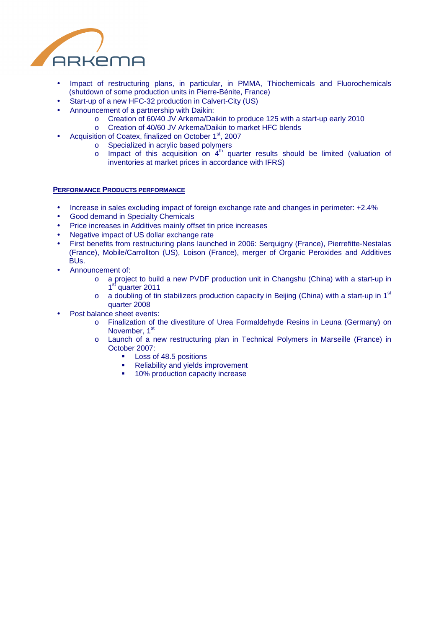

- Impact of restructuring plans, in particular, in PMMA, Thiochemicals and Fluorochemicals (shutdown of some production units in Pierre-Bénite, France)
- Start-up of a new HFC-32 production in Calvert-City (US)
- Announcement of a partnership with Daikin:
	- o Creation of 60/40 JV Arkema/Daikin to produce 125 with a start-up early 2010
	- o Creation of 40/60 JV Arkema/Daikin to market HFC blends
- Acquisition of Coatex, finalized on October 1<sup>st</sup>, 2007
	- o Specialized in acrylic based polymers
	- $\circ$  Impact of this acquisition on  $4<sup>th</sup>$  quarter results should be limited (valuation of inventories at market prices in accordance with IFRS)

## **PERFORMANCE PRODUCTS PERFORMANCE**

- Increase in sales excluding impact of foreign exchange rate and changes in perimeter: +2.4%
- Good demand in Specialty Chemicals
- Price increases in Additives mainly offset tin price increases
- Negative impact of US dollar exchange rate
- First benefits from restructuring plans launched in 2006: Serquigny (France), Pierrefitte-Nestalas (France), Mobile/Carrollton (US), Loison (France), merger of Organic Peroxides and Additives BUs.
- Announcement of:
	- o a project to build a new PVDF production unit in Changshu (China) with a start-up in 1<sup>st</sup> quarter 2011
	- $\circ$  a doubling of tin stabilizers production capacity in Beijing (China) with a start-up in 1st quarter 2008
- Post balance sheet events:
	- o Finalization of the divestiture of Urea Formaldehyde Resins in Leuna (Germany) on November, 1st
	- o Launch of a new restructuring plan in Technical Polymers in Marseille (France) in October 2007:
		- **Loss of 48.5 positions**
		- Reliability and yields improvement
		- **10% production capacity increase**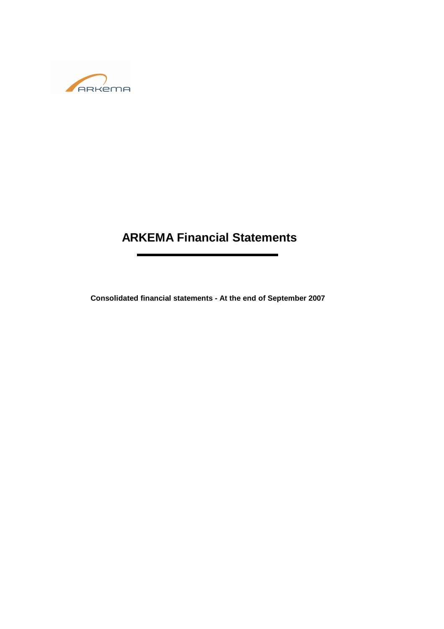

# **ARKEMA Financial Statements**

**Consolidated financial statements - At the end of September 2007**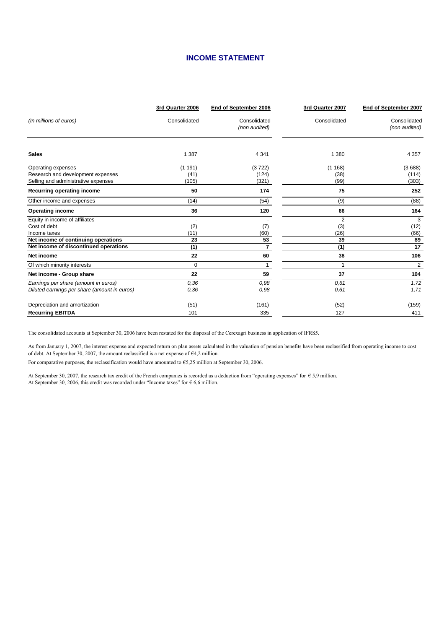# **INCOME STATEMENT**

|                                                                                                | 3rd Quarter 2006        | End of September 2006         | 3rd Quarter 2007              | End of September 2007         |
|------------------------------------------------------------------------------------------------|-------------------------|-------------------------------|-------------------------------|-------------------------------|
| (In millions of euros)                                                                         | Consolidated            | Consolidated<br>(non audited) | Consolidated                  | Consolidated<br>(non audited) |
| <b>Sales</b>                                                                                   | 1 3 8 7                 | 4 3 4 1                       | 1 3 8 0                       | 4 3 5 7                       |
| Operating expenses<br>Research and development expenses<br>Selling and administrative expenses | (1191)<br>(41)<br>(105) | (3722)<br>(124)<br>(321)      | (1168)<br>(38)<br>(99)        | (3688)<br>(114)<br>(303)      |
| Recurring operating income                                                                     | 50                      | 174                           | 75                            | 252                           |
| Other income and expenses                                                                      | (14)                    | (54)                          | (9)                           | (88)                          |
| <b>Operating income</b>                                                                        | 36                      | 120                           | 66                            | 164                           |
| Equity in income of affiliates<br>Cost of debt<br>Income taxes                                 | (2)<br>(11)             | (7)<br>(60)                   | $\overline{2}$<br>(3)<br>(26) | 3<br>(12)<br>(66)             |
| Net income of continuing operations                                                            | 23                      | 53                            | 39                            | 89                            |
| Net income of discontinued operations                                                          | (1)                     | $\overline{7}$                | (1)                           | 17                            |
| Net income                                                                                     | 22                      | 60                            | 38                            | 106                           |
| Of which minority interests                                                                    | $\Omega$                |                               | 1                             | 2                             |
| Net income - Group share                                                                       | 22                      | 59                            | 37                            | 104                           |
| Earnings per share (amount in euros)<br>Diluted earnings per share (amount in euros)           | 0,36<br>0,36            | 0.98<br>0.98                  | 0.61<br>0.61                  | 1,72<br>1,71                  |
| Depreciation and amortization                                                                  | (51)                    | (161)                         | (52)                          | (159)                         |
| <b>Recurring EBITDA</b>                                                                        | 101                     | 335                           | 127                           | 411                           |

The consolidated accounts at September 30, 2006 have been restated for the disposal of the Cerexagri business in application of IFRS5.

As from January 1, 2007, the interest expense and expected return on plan assets calculated in the valuation of pension benefits have been reclassified from operating income to cost of debt. At September 30, 2007, the amount reclassified is a net expense of  $64,2$  million.

For comparative purposes, the reclassification would have amounted to €5,25 million at September 30, 2006.

At September 30, 2007, the research tax credit of the French companies is recorded as a deduction from "operating expenses" for € 5,9 million. At September 30, 2006, this credit was recorded under "Income taxes" for  $\epsilon$  6,6 million.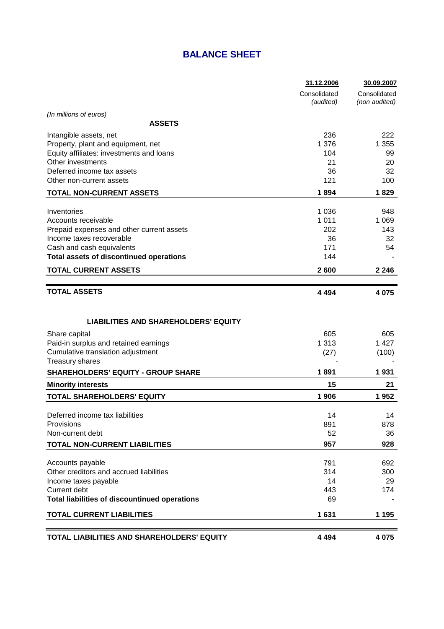# **BALANCE SHEET**

|                                                      | 31.12.2006                | 30.09.2007                    |
|------------------------------------------------------|---------------------------|-------------------------------|
|                                                      | Consolidated<br>(audited) | Consolidated<br>(non audited) |
| (In millions of euros)                               |                           |                               |
| <b>ASSETS</b>                                        |                           |                               |
| Intangible assets, net                               | 236                       | 222                           |
| Property, plant and equipment, net                   | 1 3 7 6                   | 1 355                         |
| Equity affiliates: investments and loans             | 104                       | 99                            |
| Other investments                                    | 21                        | 20                            |
| Deferred income tax assets                           | 36                        | 32                            |
| Other non-current assets                             | 121                       | 100                           |
| <b>TOTAL NON-CURRENT ASSETS</b>                      | 1894                      | 1829                          |
| Inventories                                          | 1 0 3 6                   | 948                           |
| Accounts receivable                                  | 1 0 1 1                   | 1 0 6 9                       |
| Prepaid expenses and other current assets            | 202                       | 143                           |
| Income taxes recoverable                             | 36                        | 32                            |
| Cash and cash equivalents                            | 171                       | 54                            |
| <b>Total assets of discontinued operations</b>       | 144                       |                               |
| <b>TOTAL CURRENT ASSETS</b>                          | 2600                      | 2 2 4 6                       |
|                                                      |                           |                               |
| <b>TOTAL ASSETS</b>                                  | 4 4 9 4                   | 4 0 7 5                       |
|                                                      |                           |                               |
| <b>LIABILITIES AND SHAREHOLDERS' EQUITY</b>          |                           |                               |
| Share capital                                        | 605                       | 605                           |
| Paid-in surplus and retained earnings                | 1 3 1 3                   | 1 4 2 7                       |
| Cumulative translation adjustment                    | (27)                      | (100)                         |
| <b>Treasury shares</b>                               |                           |                               |
| <b>SHAREHOLDERS' EQUITY - GROUP SHARE</b>            | 1891                      | 1931                          |
| <b>Minority interests</b>                            | 15                        | 21                            |
| <b>TOTAL SHAREHOLDERS' EQUITY</b>                    | 1 906                     | 1952                          |
| Deferred income tax liabilities                      | 14                        | 14                            |
| Provisions                                           | 891                       | 878                           |
| Non-current debt                                     | 52                        | 36                            |
| <b>TOTAL NON-CURRENT LIABILITIES</b>                 | 957                       | 928                           |
|                                                      |                           |                               |
| Accounts payable                                     | 791                       | 692                           |
| Other creditors and accrued liabilities              | 314                       | 300                           |
| Income taxes payable                                 | 14                        | 29                            |
| Current debt                                         | 443                       | 174                           |
| <b>Total liabilities of discountinued operations</b> | 69                        |                               |
| <b>TOTAL CURRENT LIABILITIES</b>                     | 1631                      | 1 1 9 5                       |
|                                                      |                           |                               |
| TOTAL LIABILITIES AND SHAREHOLDERS' EQUITY           | 4 4 9 4                   | 4 0 7 5                       |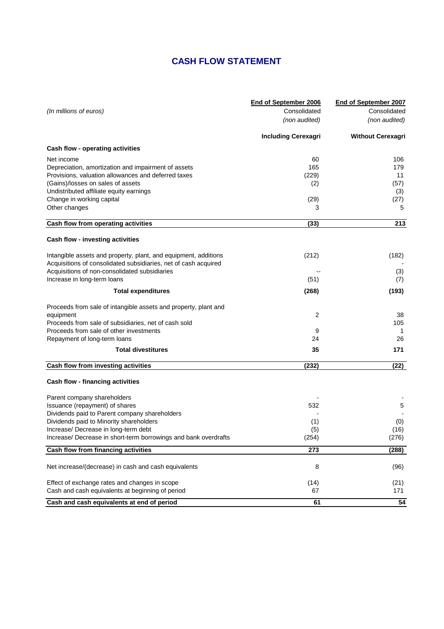# **CASH FLOW STATEMENT**

|                                                                 | End of September 2006      | End of September 2007    |
|-----------------------------------------------------------------|----------------------------|--------------------------|
| (In millions of euros)                                          | Consolidated               | Consolidated             |
|                                                                 | (non audited)              | (non audited)            |
|                                                                 | <b>Including Cerexagri</b> | <b>Without Cerexagri</b> |
| Cash flow - operating activities                                |                            |                          |
| Net income                                                      | 60                         | 106                      |
| Depreciation, amortization and impairment of assets             | 165                        | 179                      |
| Provisions, valuation allowances and deferred taxes             | (229)                      | 11                       |
| (Gains)/losses on sales of assets                               | (2)                        | (57)                     |
| Undistributed affiliate equity earnings                         |                            | (3)                      |
| Change in working capital                                       | (29)                       | (27)                     |
| Other changes                                                   | 3                          | 5                        |
| Cash flow from operating activities                             | (33)                       | 213                      |
| Cash flow - investing activities                                |                            |                          |
| Intangible assets and property, plant, and equipment, additions | (212)                      | (182)                    |
| Acquisitions of consolidated subsidiaries, net of cash acquired |                            |                          |
| Acquisitions of non-consolidated subsidiaries                   |                            | (3)                      |
| Increase in long-term loans                                     | (51)                       | (7)                      |
| <b>Total expenditures</b>                                       | (268)                      | (193)                    |
| Proceeds from sale of intangible assets and property, plant and |                            |                          |
| equipment                                                       | 2                          | 38                       |
| Proceeds from sale of subsidiaries, net of cash sold            |                            | 105                      |
| Proceeds from sale of other investments                         | 9                          | -1                       |
| Repayment of long-term loans                                    | 24                         | 26                       |
| <b>Total divestitures</b>                                       | 35                         | 171                      |
| <b>Cash flow from investing activities</b>                      | (232)                      | (22)                     |
| <b>Cash flow - financing activities</b>                         |                            |                          |
| Parent company shareholders                                     |                            |                          |
| Issuance (repayment) of shares                                  | 532                        | 5                        |
| Dividends paid to Parent company shareholders                   |                            |                          |
| Dividends paid to Minority shareholders                         | (1)                        | (0)                      |
| Increase/ Decrease in long-term debt                            | (5)                        | (16)                     |
| Increase/ Decrease in short-term borrowings and bank overdrafts | (254)                      | (276)                    |
| Cash flow from financing activities                             | 273                        | (288)                    |
| Net increase/(decrease) in cash and cash equivalents            | 8                          | (96)                     |
| Effect of exchange rates and changes in scope                   | (14)                       | (21)                     |
| Cash and cash equivalents at beginning of period                | 67                         | 171                      |
| Cash and cash equivalents at end of period                      | 61                         | 54                       |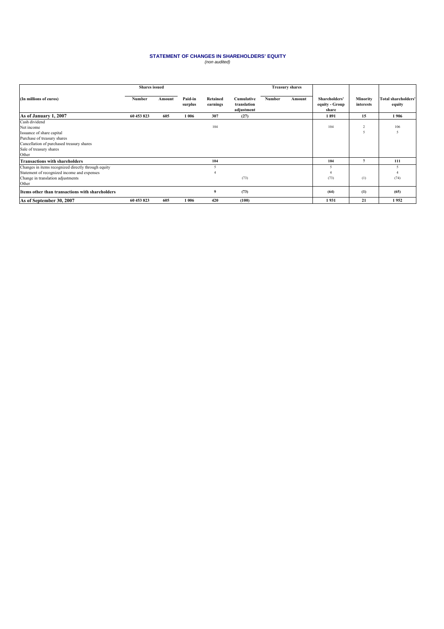# **STATEMENT OF CHANGES IN SHAREHOLDERS' EQUITY**<br>(non audited)

|                                                                                                                                                                          | <b>Shares</b> issued |        |                    |                      |                                         |               | <b>Treasury shares</b> |                                          |                                    |                                      |
|--------------------------------------------------------------------------------------------------------------------------------------------------------------------------|----------------------|--------|--------------------|----------------------|-----------------------------------------|---------------|------------------------|------------------------------------------|------------------------------------|--------------------------------------|
| (In millions of euros)                                                                                                                                                   | Number               | Amount | Paid-in<br>surplus | Retained<br>earnings | Cumulative<br>translation<br>adjustment | <b>Number</b> | Amount                 | Shareholders'<br>equity - Group<br>share | <b>Minority</b><br>interests       | <b>Total shareholders'</b><br>equity |
| As of January 1, 2007                                                                                                                                                    | 60 453 823           | 605    | 1 0 0 6            | 307                  | (27)                                    |               |                        | 1891                                     | 15                                 | 1906                                 |
| Cash dividend<br>Net income<br>Issuance of share capital<br>Purchase of treasury shares<br>Cancellation of purchased treasury shares<br>Sale of treasury shares<br>Other |                      |        |                    | 104                  |                                         |               |                        | 104                                      | $\sim$<br>$\overline{\phantom{0}}$ | 106<br>$\tilde{\mathcal{L}}$         |
| <b>Transactions with shareholders</b>                                                                                                                                    |                      |        |                    | 104                  |                                         |               |                        | 104                                      |                                    | 111                                  |
| Changes in items recognized directly through equity<br>Statement of recognized income and expenses<br>Change in translation adjustments<br>Other                         |                      |        |                    |                      | (73)                                    |               |                        | 5<br>(73)                                | (1)                                | (74)                                 |
| Items other than transactions with shareholders                                                                                                                          |                      |        |                    | 9                    | (73)                                    |               |                        | (64)                                     | (1)                                | (65)                                 |
| As of September 30, 2007                                                                                                                                                 | 60 453 823           | 605    | 1006               | 420                  | (100)                                   |               |                        | 1931                                     | 21                                 | 1952                                 |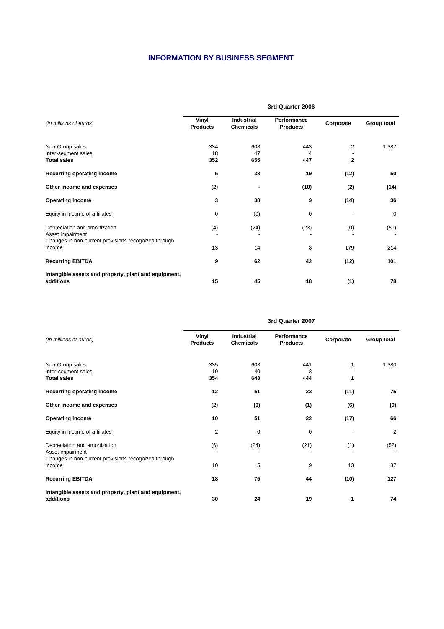# **INFORMATION BY BUSINESS SEGMENT**

|                                                                                                           | 3rd Quarter 2006         |                                       |                                |                   |              |  |  |
|-----------------------------------------------------------------------------------------------------------|--------------------------|---------------------------------------|--------------------------------|-------------------|--------------|--|--|
| (In millions of euros)                                                                                    | Vinyl<br><b>Products</b> | <b>Industrial</b><br><b>Chemicals</b> | Performance<br><b>Products</b> | Corporate         | Group total  |  |  |
| Non-Group sales<br>Inter-segment sales<br><b>Total sales</b>                                              | 334<br>18<br>352         | 608<br>47<br>655                      | 443<br>4<br>447                | 2<br>$\mathbf{2}$ | 1 3 8 7      |  |  |
| Recurring operating income                                                                                | 5                        | 38                                    | 19                             | (12)              | 50           |  |  |
| Other income and expenses                                                                                 | (2)                      |                                       | (10)                           | (2)               | (14)         |  |  |
| <b>Operating income</b>                                                                                   | 3                        | 38                                    | 9                              | (14)              | 36           |  |  |
| Equity in income of affiliates                                                                            | $\mathbf 0$              | (0)                                   | 0                              |                   | $\mathbf{0}$ |  |  |
| Depreciation and amortization<br>Asset impairment<br>Changes in non-current provisions recognized through | (4)                      | (24)                                  | (23)                           | (0)               | (51)         |  |  |
| income                                                                                                    | 13                       | 14                                    | 8                              | 179               | 214          |  |  |
| <b>Recurring EBITDA</b>                                                                                   | 9                        | 62                                    | 42                             | (12)              | 101          |  |  |
| Intangible assets and property, plant and equipment,<br>additions                                         | 15                       | 45                                    | 18                             | (1)               | 78           |  |  |

| (In millions of euros)                                                                                              | Vinyl<br><b>Products</b> | Industrial<br><b>Chemicals</b> | Performance<br><b>Products</b> | Corporate | Group total |  |  |  |
|---------------------------------------------------------------------------------------------------------------------|--------------------------|--------------------------------|--------------------------------|-----------|-------------|--|--|--|
| Non-Group sales<br>Inter-segment sales<br><b>Total sales</b>                                                        | 335<br>19<br>354         | 603<br>40<br>643               | 441<br>3<br>444                |           | 1 3 8 0     |  |  |  |
| Recurring operating income                                                                                          | 12                       | 51                             | 23                             | (11)      | 75          |  |  |  |
| Other income and expenses                                                                                           | (2)                      | (0)                            | (1)                            | (6)       | (9)         |  |  |  |
| <b>Operating income</b>                                                                                             | 10                       | 51                             | 22                             | (17)      | 66          |  |  |  |
| Equity in income of affiliates                                                                                      | 2                        | $\mathbf 0$                    | 0                              |           | 2           |  |  |  |
| Depreciation and amortization<br>Asset impairment<br>Changes in non-current provisions recognized through<br>income | (6)<br>10                | (24)<br>5                      | (21)<br>9                      | (1)<br>13 | (52)<br>37  |  |  |  |
| <b>Recurring EBITDA</b>                                                                                             | 18                       | 75                             | 44                             | (10)      | 127         |  |  |  |
| Intangible assets and property, plant and equipment,<br>additions                                                   | 30                       | 24                             | 19                             |           | 74          |  |  |  |

#### **3rd Quarter 2007**